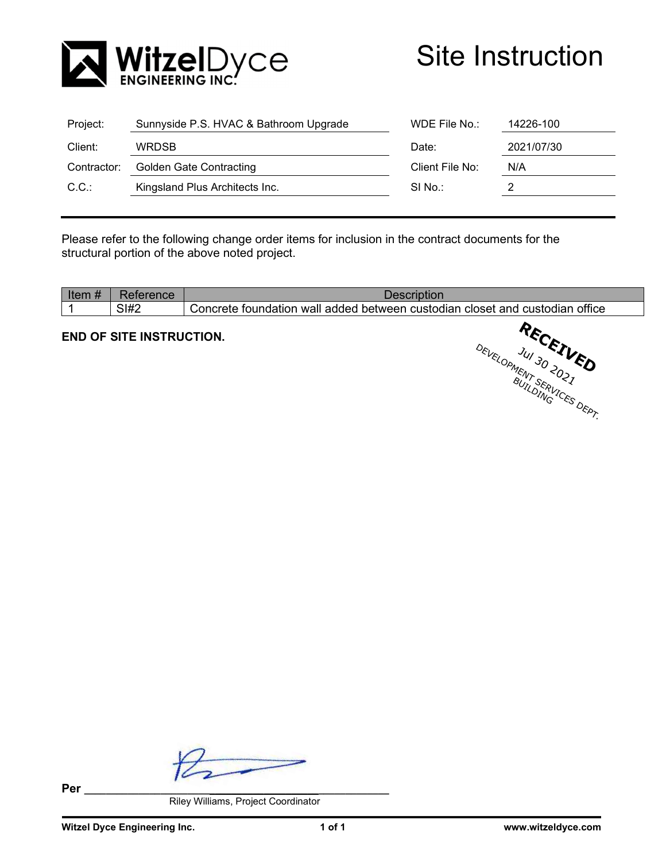

| Project:    | Sunnyside P.S. HVAC & Bathroom Upgrade | WDE File $No.$ :<br>14226-100 |     |
|-------------|----------------------------------------|-------------------------------|-----|
| Client:     | 2021/07/30<br><b>WRDSB</b><br>Date:    |                               |     |
| Contractor: | <b>Golden Gate Contracting</b>         | Client File No:               | N/A |
| C.C.        | Kingsland Plus Architects Inc.         | SI No.:                       |     |
|             |                                        |                               |     |

Please refer to the following change order items for inclusion in the contract documents for the structural portion of the above noted project.

| <b>SI#2</b> | office<br>⊧custodian<br>ano<br>custo<br>∴oncrete<br>wall added<br>hetween<br>ndian<br>toundation<br>L ClOSet |
|-------------|--------------------------------------------------------------------------------------------------------------|

## **END OF SITE INSTRUCTION.**

**Per \_\_\_\_\_\_\_\_\_\_\_\_\_\_\_\_\_\_\_\_\_\_\_\_\_\_\_\_\_\_\_\_\_\_\_\_\_\_\_\_\_\_\_\_\_\_\_\_\_\_\_\_\_\_\_\_** 

Riley Williams, Project Coordinator

**RECEIVED**<br>Jul 30 20 **ED** 

DEVELOPMENT SO 2021 BUIL SERI